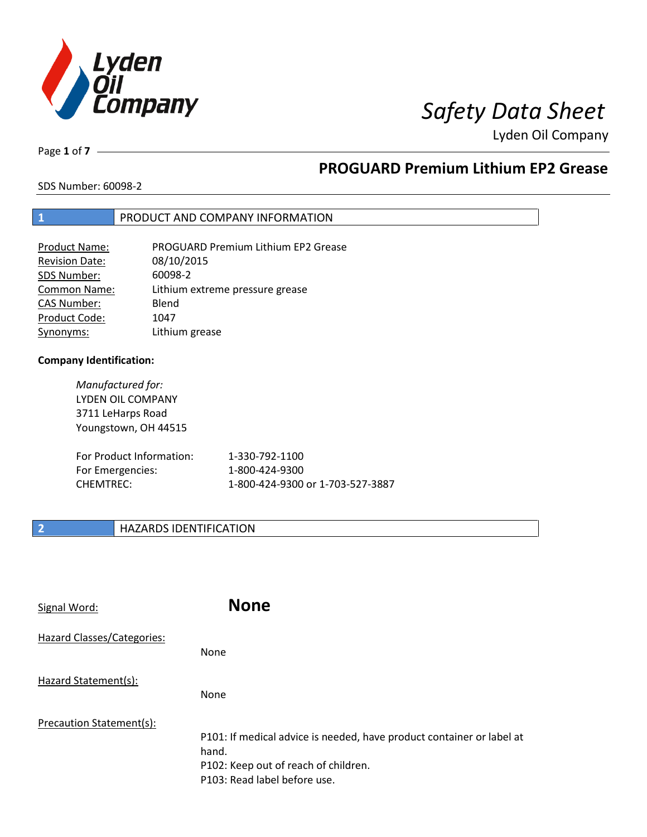

# *Safety Data Sheet*

Lyden Oil Company

Page **1** of **7**

# **PROGUARD Premium Lithium EP2 Grease**

SDS Number: 60098-2

### **1** PRODUCT AND COMPANY INFORMATION

| Product Name:         | <b>PROGUARD Premium Lithium EP2 Grease</b> |
|-----------------------|--------------------------------------------|
| <b>Revision Date:</b> | 08/10/2015                                 |
| SDS Number:           | 60098-2                                    |
| <b>Common Name:</b>   | Lithium extreme pressure grease            |
| <b>CAS Number:</b>    | Blend                                      |
| Product Code:         | 1047                                       |
| Synonyms:             | Lithium grease                             |

#### **Company Identification:**

| Manufactured for:        |                |
|--------------------------|----------------|
| LYDEN OIL COMPANY        |                |
| 3711 LeHarps Road        |                |
| Youngstown, OH 44515     |                |
|                          |                |
| For Product Information: | 1-330-792-1100 |
| For Emergencies:         | 1-800-424-9300 |

CHEMTREC: 1-800-424-9300 or 1-703-527-3887

### **2 HAZARDS IDENTIFICATION**

| Signal Word:               | <b>None</b>                                                                                                                                            |
|----------------------------|--------------------------------------------------------------------------------------------------------------------------------------------------------|
| Hazard Classes/Categories: | None                                                                                                                                                   |
| Hazard Statement(s):       | None                                                                                                                                                   |
| Precaution Statement(s):   | P101: If medical advice is needed, have product container or label at<br>hand.<br>P102: Keep out of reach of children.<br>P103: Read label before use. |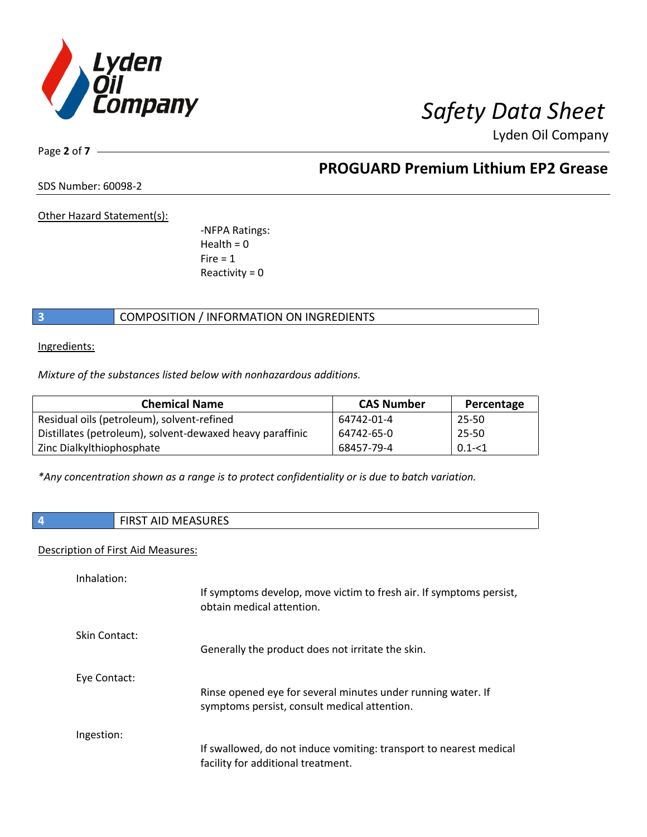

Lyden Oil Company

Page **2** of **7**

# **PROGUARD Premium Lithium EP2 Grease**

SDS Number: 60098-2

Other Hazard Statement(s):

-NFPA Ratings:  $Health = 0$  $Fire = 1$ Reactivity  $= 0$ 

### **3** COMPOSITION / INFORMATION ON INGREDIENTS

Ingredients:

*Mixture of the substances listed below with nonhazardous additions.*

| <b>Chemical Name</b>                                      | <b>CAS Number</b> | Percentage |
|-----------------------------------------------------------|-------------------|------------|
| Residual oils (petroleum), solvent-refined                | 64742-01-4        | 25-50      |
| Distillates (petroleum), solvent-dewaxed heavy paraffinic | 64742-65-0        | 25-50      |
| Zinc Dialkylthiophosphate                                 | 68457-79-4        | $0.1 - 1$  |

*\*Any concentration shown as a range is to protect confidentiality or is due to batch variation.*

| <b>CLIDEC</b><br>w<br>د∟د∪ |
|----------------------------|
|                            |

#### Description of First Aid Measures:

| Inhalation:   | If symptoms develop, move victim to fresh air. If symptoms persist,<br>obtain medical attention.             |
|---------------|--------------------------------------------------------------------------------------------------------------|
| Skin Contact: | Generally the product does not irritate the skin.                                                            |
| Eye Contact:  | Rinse opened eye for several minutes under running water. If<br>symptoms persist, consult medical attention. |
| Ingestion:    | If swallowed, do not induce vomiting: transport to nearest medical<br>facility for additional treatment.     |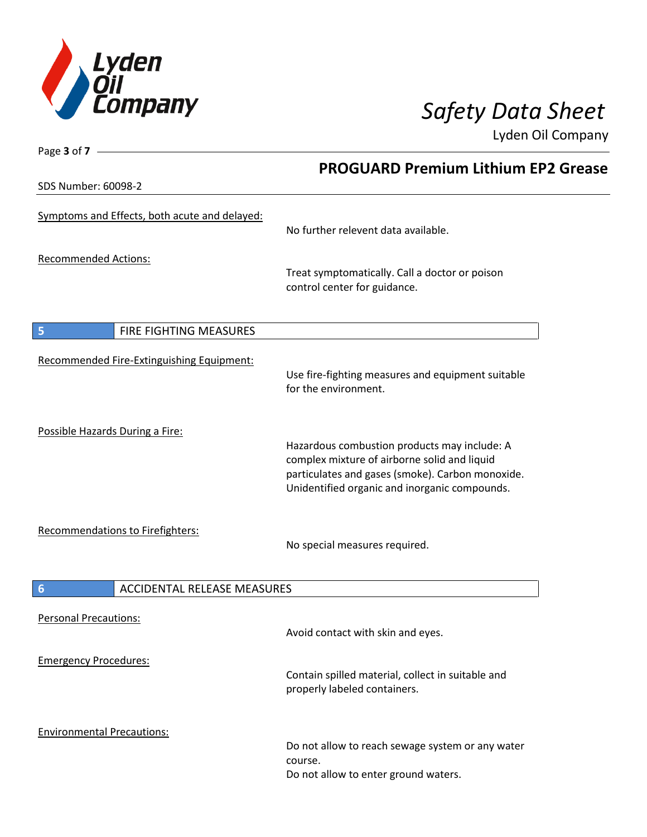

Lyden Oil Company

SDS Number: 60098-2

Page **3** of **7**

# **PROGUARD Premium Lithium EP2 Grease**

| 2-ספטטס . ושטוווµאו כעכ                        |                                                                                                                                                                                                   |
|------------------------------------------------|---------------------------------------------------------------------------------------------------------------------------------------------------------------------------------------------------|
| Symptoms and Effects, both acute and delayed:  | No further relevent data available.                                                                                                                                                               |
| <b>Recommended Actions:</b>                    | Treat symptomatically. Call a doctor or poison<br>control center for guidance.                                                                                                                    |
| 5<br>FIRE FIGHTING MEASURES                    |                                                                                                                                                                                                   |
| Recommended Fire-Extinguishing Equipment:      | Use fire-fighting measures and equipment suitable<br>for the environment.                                                                                                                         |
| Possible Hazards During a Fire:                | Hazardous combustion products may include: A<br>complex mixture of airborne solid and liquid<br>particulates and gases (smoke). Carbon monoxide.<br>Unidentified organic and inorganic compounds. |
| Recommendations to Firefighters:               | No special measures required.                                                                                                                                                                     |
| $6\phantom{1}6$<br>ACCIDENTAL RELEASE MEASURES |                                                                                                                                                                                                   |
| <b>Personal Precautions:</b>                   | Avoid contact with skin and eyes.                                                                                                                                                                 |
| <b>Emergency Procedures:</b>                   | Contain spilled material, collect in suitable and<br>properly labeled containers.                                                                                                                 |
| <b>Environmental Precautions:</b>              | Do not allow to reach sewage system or any water<br>course.<br>Do not allow to enter ground waters.                                                                                               |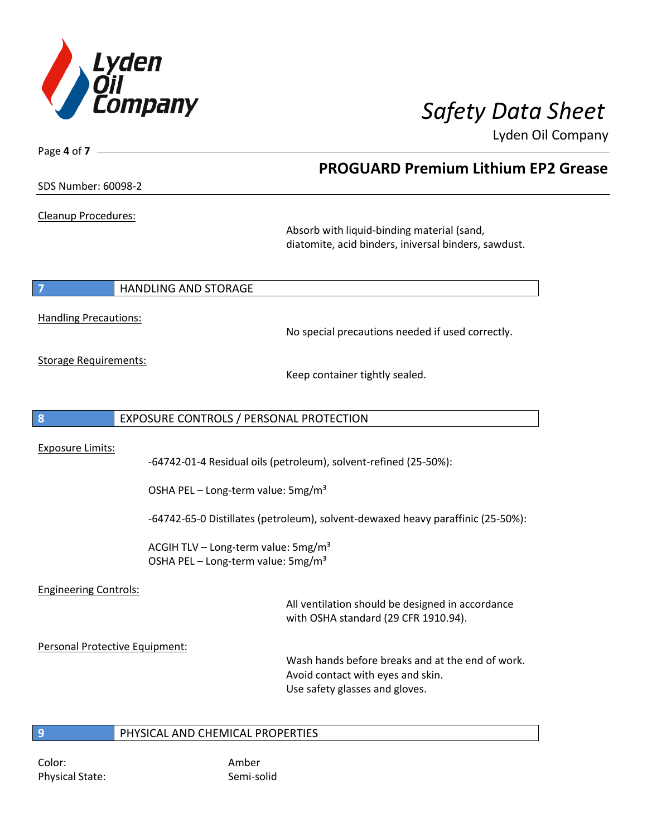

**PROGUARD Premium Lithium EP2 Grease**

Lyden Oil Company

Page **4** of **7**

Cleanup Procedures:

Absorb with liquid-binding material (sand, diatomite, acid binders, iniversal binders, sawdust.

#### **7 HANDLING AND STORAGE**

Handling Precautions:

No special precautions needed if used correctly.

Storage Requirements:

Keep container tightly sealed.

### **8** EXPOSURE CONTROLS / PERSONAL PROTECTION

Exposure Limits:

-64742-01-4 Residual oils (petroleum), solvent-refined (25-50%):

OSHA PEL – Long-term value: 5mg/m<sup>3</sup>

-64742-65-0 Distillates (petroleum), solvent-dewaxed heavy paraffinic (25-50%):

ACGIH TLV – Long-term value:  $5mg/m<sup>3</sup>$ OSHA PEL – Long-term value: 5mg/m<sup>3</sup>

### Engineering Controls:

All ventilation should be designed in accordance with OSHA standard (29 CFR 1910.94).

Personal Protective Equipment:

Wash hands before breaks and at the end of work. Avoid contact with eyes and skin. Use safety glasses and gloves.

#### **9** PHYSICAL AND CHEMICAL PROPERTIES

Color: Amber Physical State: Semi-solid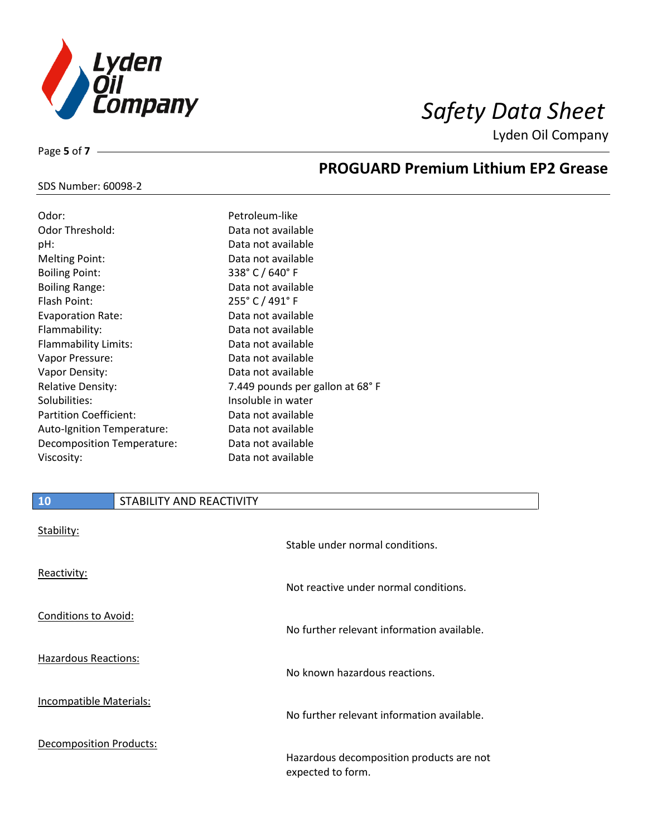

**PROGUARD Premium Lithium EP2 Grease**

Lyden Oil Company

#### SDS Number: 60098-2

Page **5** of **7**

| Odor:                      | Petroleum-like                      |
|----------------------------|-------------------------------------|
| Odor Threshold:            | Data not available                  |
| pH:                        | Data not available                  |
| Melting Point:             | Data not available                  |
| <b>Boiling Point:</b>      | 338 $^{\circ}$ C / 640 $^{\circ}$ F |
| <b>Boiling Range:</b>      | Data not available                  |
| Flash Point:               | 255° C / 491° F                     |
| <b>Evaporation Rate:</b>   | Data not available                  |
| Flammability:              | Data not available                  |
| Flammability Limits:       | Data not available                  |
| Vapor Pressure:            | Data not available                  |
| Vapor Density:             | Data not available                  |
| <b>Relative Density:</b>   | 7.449 pounds per gallon at 68°F     |
| Solubilities:              | Insoluble in water                  |
| Partition Coefficient:     | Data not available                  |
| Auto-Ignition Temperature: | Data not available                  |
| Decomposition Temperature: | Data not available                  |
| Viscosity:                 | Data not available                  |

### **10** STABILITY AND REACTIVITY

| Stability:                     | Stable under normal conditions.                               |
|--------------------------------|---------------------------------------------------------------|
| Reactivity:                    | Not reactive under normal conditions.                         |
| Conditions to Avoid:           | No further relevant information available.                    |
| <b>Hazardous Reactions:</b>    | No known hazardous reactions.                                 |
| Incompatible Materials:        | No further relevant information available.                    |
| <b>Decomposition Products:</b> | Hazardous decomposition products are not<br>expected to form. |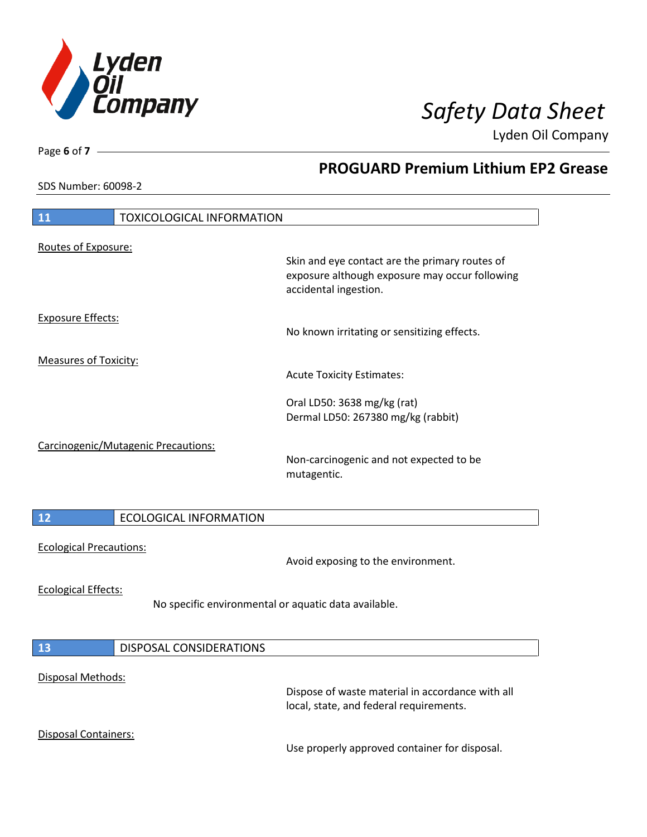

**PROGUARD Premium Lithium EP2 Grease**

Lyden Oil Company

SDS Number: 60098-2

Page **6** of **7**

 $\overline{\phantom{a}}$ 

 $\overline{\phantom{a}}$ 

| 11                             | <b>TOXICOLOGICAL INFORMATION</b>                     |                                                                                                                           |
|--------------------------------|------------------------------------------------------|---------------------------------------------------------------------------------------------------------------------------|
| Routes of Exposure:            |                                                      | Skin and eye contact are the primary routes of<br>exposure although exposure may occur following<br>accidental ingestion. |
| <b>Exposure Effects:</b>       |                                                      | No known irritating or sensitizing effects.                                                                               |
| <b>Measures of Toxicity:</b>   |                                                      | <b>Acute Toxicity Estimates:</b>                                                                                          |
|                                |                                                      | Oral LD50: 3638 mg/kg (rat)<br>Dermal LD50: 267380 mg/kg (rabbit)                                                         |
|                                | Carcinogenic/Mutagenic Precautions:                  | Non-carcinogenic and not expected to be<br>mutagentic.                                                                    |
| 12                             | <b>ECOLOGICAL INFORMATION</b>                        |                                                                                                                           |
| <b>Ecological Precautions:</b> |                                                      | Avoid exposing to the environment.                                                                                        |
| <b>Ecological Effects:</b>     | No specific environmental or aquatic data available. |                                                                                                                           |
| 13                             | <b>DISPOSAL CONSIDERATIONS</b>                       |                                                                                                                           |
| Disposal Methods:              |                                                      | Dispose of waste material in accordance with all<br>local, state, and federal requirements.                               |
| Disposal Containers:           |                                                      | Use properly approved container for disposal.                                                                             |